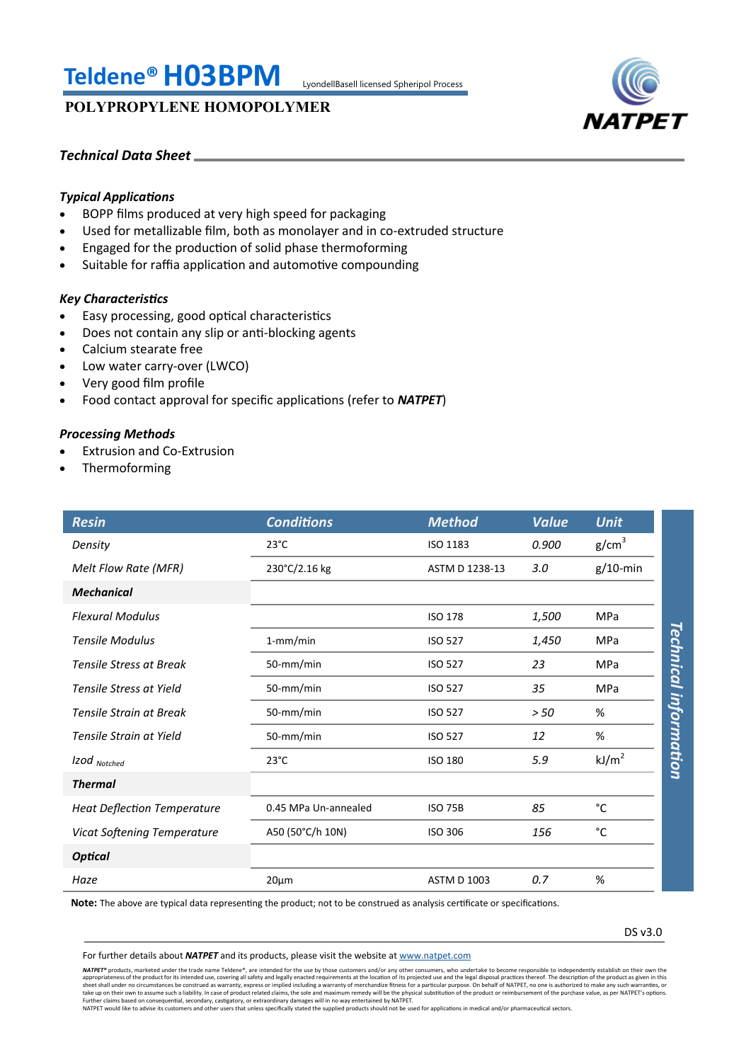# **Teldene®H03BPM** LyondellBasell licensed Spheripol Process

## **POLYPROPYLENE HOMOPOLYMER**



## *Technical Data Sheet*

## *Typical Applications*

- BOPP films produced at very high speed for packaging
- Used for metallizable film, both as monolayer and in co-extruded structure
- Engaged for the production of solid phase thermoforming
- Suitable for raffia application and automotive compounding

## *Key Characteristics*

- Easy processing, good optical characteristics
- Does not contain any slip or anti-blocking agents
- Calcium stearate free
- Low water carry-over (LWCO)
- Very good film profile
- Food contact approval for specific applications (refer to *NATPET*)

## *Processing Methods*

- Extrusion and Co-Extrusion
- Thermoforming

| <b>Resin</b>                       | <b>Conditions</b>    | <b>Method</b>      | <b>Value</b> | <b>Unit</b>                  |
|------------------------------------|----------------------|--------------------|--------------|------------------------------|
| Density                            | $23^{\circ}$ C       | ISO 1183           | 0.900        | g/cm <sup>3</sup>            |
| Melt Flow Rate (MFR)               | 230°C/2.16 kg        | ASTM D 1238-13     | 3.0          | $g/10$ -min                  |
| <b>Mechanical</b>                  |                      |                    |              |                              |
| <b>Flexural Modulus</b>            |                      | <b>ISO 178</b>     | 1,500        | <b>MPa</b>                   |
| <b>Tensile Modulus</b>             | $1$ -mm/min          | <b>ISO 527</b>     | 1,450        | <b>MPa</b>                   |
| <b>Tensile Stress at Break</b>     | 50-mm/min            | <b>ISO 527</b>     | 23           | <b>MPa</b>                   |
| Tensile Stress at Yield            | 50-mm/min            | <b>ISO 527</b>     | 35           | Technical information<br>MPa |
| Tensile Strain at Break            | 50-mm/min            | <b>ISO 527</b>     | > 50         | %                            |
| Tensile Strain at Yield            | 50-mm/min            | <b>ISO 527</b>     | 12           | %                            |
| Izod Notched                       | $23^{\circ}$ C       | <b>ISO 180</b>     | 5.9          | kJ/m <sup>2</sup>            |
| <b>Thermal</b>                     |                      |                    |              |                              |
| <b>Heat Deflection Temperature</b> | 0.45 MPa Un-annealed | <b>ISO 75B</b>     | 85           | °C                           |
| <b>Vicat Softening Temperature</b> | A50 (50°C/h 10N)     | <b>ISO 306</b>     | 156          | °C                           |
| <b>Optical</b>                     |                      |                    |              |                              |
| Haze                               | $20 \mu m$           | <b>ASTM D 1003</b> | 0.7          | %                            |

**Note:** The above are typical data representing the product; not to be construed as analysis certificate or specifications.

DS v3.0

For further details about *NATPET* and its products, please visit the website at [www.natpet.com](http://www.natpet.com)

**NATPET®** products, marketed under the trade name Teldene®, are intended for the use by those customers and/or any other consumers, who undertake to become responsible to independently establish on their own the trade name